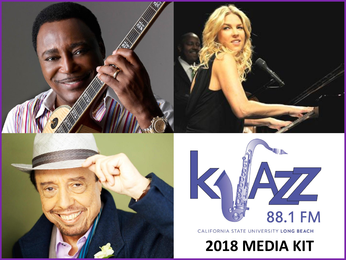





CALIFORNIA STATE UNIVERSITY LONG BEACH

**2018 MEDIA KIT**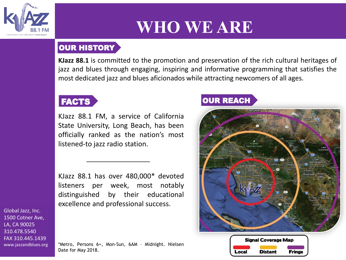

# **WHO WE ARE**

## OUR HISTORY

**KJazz 88.1** is committed to the promotion and preservation of the rich cultural heritages of jazz and blues through engaging, inspiring and informative programming that satisfies the most dedicated jazz and blues aficionados while attracting newcomers of all ages.

## FACTS

KJazz 88.1 FM, a service of California State University, Long Beach, has been officially ranked as the nation's most listened-to jazz radio station.

KJazz 88.1 has over 480,000\* devoted listeners per week, most notably distinguished by their educational excellence and professional success.

Global Jazz, Inc. 1500 Cotner Ave, LA, CA 90025 310.478.5540 FAX 310.445.1439 www.jazzandblues.org

\*Metro, Persons 6+, Mon-Sun, 6AM – Midnight. Nielsen Date for May 2018.

## OUR REACH



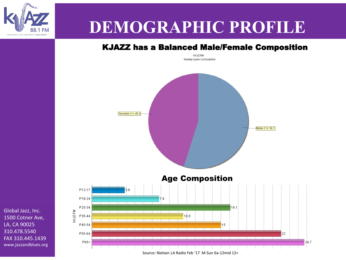

# **DEMOGRAPHIC PROFILE**

## KJAZZ has a Balanced Male/Female Composition

KKJZ-FM Weekly Cume Composition



Global Jazz, Inc. 1500 Cotner Ave, LA, CA 90025 310.478.5540 FAX 310.445.1439 www.jazzandblues.org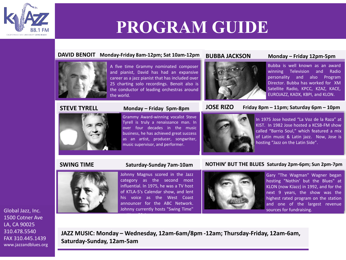

# **PROGRAM GUIDE**

### **DAVID BENOIT Monday-Friday 8am-12pm; Sat 10am-12pm**



A five time Grammy nominated composer and pianist, David has had an expansive career as a jazz pianist that has included over 25 charting solo recordings. Benoit also is the conductor of leading orchestras around the world.



## **BUBBA JACKSON Monday – Friday 12pm-5pm**

Bubba is well known as an award winning Television and Radio personality and also Program Director. Bubba has worked for XM Satellite Radio, KPCC, KZAZ, KACE, EUROJAZZ, KADX, KBPI, and KLON.

### **STEVE TYRELL Monday – Friday 5pm-8pm**



Grammy Award-winning vocalist Steve Tyrell is truly a renaissance man. In over four decades in the music business, he has achieved great success as an artist, producer, songwriter, music supervisor, and performer.

## **JOSE RIZO Friday 8pm – 11pm; Saturday 6pm – 10pm**

In 1975 Jose hosted "La Voz de la Raza" at KIST. In 1982 Jose hosted a KCSB-FM show called "Barrio Soul," which featured a mix of Latin music & Latin jazz. Now, Jose is hosting "Jazz on the Latin Side".

### **SWING TIME Saturday-Sunday 7am-10am NOTHIN' BUT THE BLUES Saturday 2pm-6pm; Sun 2pm-7pm**



Johnny Magnus scored in the Jazz category as the second most influential. In 1975, he was a TV host of KTLA-5's Calendar show, and lent his voice as the West Coast announcer for the ABC Network. Johnny currently hosts "Swing Time"

on KJazz 88.1.

Gary "The Wagman" Wagner began hosting "Nothin' but the Blues" at KLON (now KJazz) in 1992, and for the next 9 years, the show was the highest rated program on the station and one of the largest revenue sources for fundraising.

Global Jazz, Inc. 1500 Cotner Ave LA, CA 90025 310.478.5540 FAX 310.445.1439 www.jazzandblues.org

**JAZZ MUSIC: Monday – Wednesday, 12am-6am/8pm -12am; Thursday-Friday, 12am-6am, Saturday-Sunday, 12am-5am**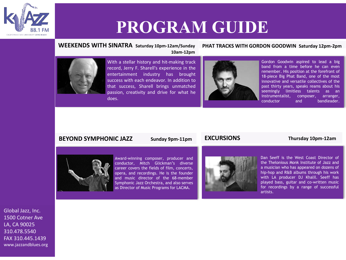

# **PROGRAM GUIDE**

## **WEEKENDS WITH SINATRA Saturday 10pm-12am/Sunday**

### **PHAT TRACKS WITH GORDON GOODWIN Saturday 12pm-2pm**



With a stellar history and hit-making track record, Jerry F. Sharell's experience in the entertainment industry has brought success with each endeavor. In addition to that success, Sharell brings unmatched passion, creativity and drive for what he does.



Gordon Goodwin aspired to lead a big band from a time before he can even remember. His position at the forefront of 18-piece Big Phat Band, one of the most innovative and versatile collectives of the past thirty years, speaks reams about his seemingly limitless talents as an instrumentalist, composer, arranger, conductor and bandleader.

### **BEYOND SYMPHONIC JAZZ** Sunday 9pm-11pm

### **EXCURSIONS Thursday 10pm-12am**



Award-winning composer, producer and conductor, Mitch Glickman's diverse career covers the fields of film, concerts, opera, and recordings. He is the founder and music director of the 68-member Symphonic Jazz Orchestra, and also serves as Director of Music Programs for LACMA.



Dan Seeff is the West Coast Director of the Thelonious Monk Institute of Jazz and a musician who has appeared on dozens of hip-hop and R&B albums through his work with LA producer DJ Khalil. Seeff has played bass, guitar and co-written music for recordings by a range of successful artists.

Global Jazz, Inc. 1500 Cotner Ave LA, CA 90025 310.478.5540 FAX 310.445.1439 www.jazzandblues.org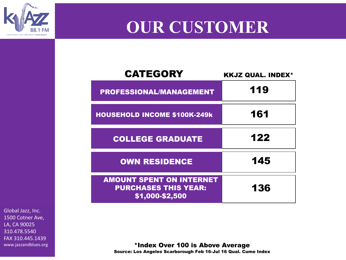# **OUR CUSTOMER**

| <b>CATEGORY</b>                                                                   | <b>KKJZ QUAL. INDEX*</b> |
|-----------------------------------------------------------------------------------|--------------------------|
| <b>PROFESSIONAL/MANAGEMENT</b>                                                    | 119                      |
| <b>HOUSEHOLD INCOME \$100K-249k</b>                                               | 161                      |
| <b>COLLEGE GRADUATE</b>                                                           | 122                      |
| <b>OWN RESIDENCE</b>                                                              | 145                      |
| <b>AMOUNT SPENT ON INTERNET</b><br><b>PURCHASES THIS YEAR:</b><br>\$1,000-\$2,500 | 136                      |

Global Jazz, Inc. 1500 Cotner Ave, LA, CA 90025 310.478.5540 FAX 310.445.1439 www.jazzandblues.org

CALIFORNIA STATE UNIVERSITY LONG BEACH

\*Index Over 100 is Above Average Source: Los Angeles Scarborough Feb 16-Jul 16 Qual. Cume Index